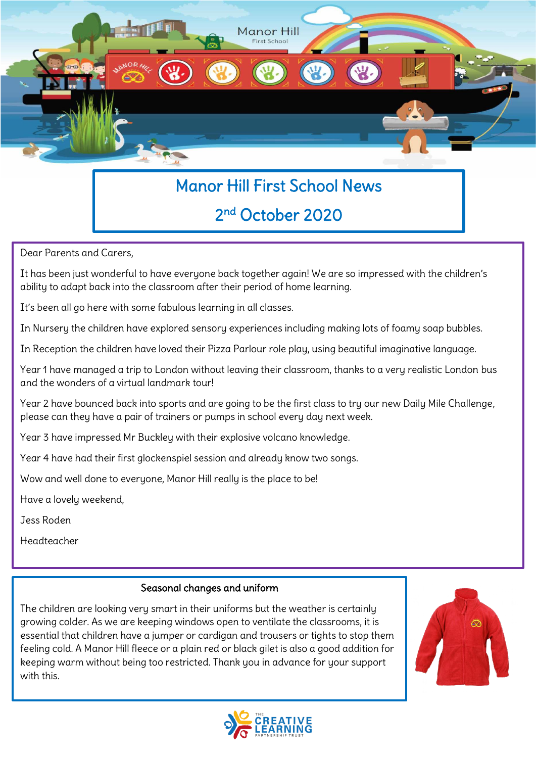

# Manor Hill First School News

## 2 nd October 2020

Dear Parents and Carers,

It has been just wonderful to have everyone back together again! We are so impressed with the children's ability to adapt back into the classroom after their period of home learning.

It's been all go here with some fabulous learning in all classes.

In Nursery the children have explored sensory experiences including making lots of foamy soap bubbles.

In Reception the children have loved their Pizza Parlour role play, using beautiful imaginative language.

Year 1 have managed a trip to London without leaving their classroom, thanks to a very realistic London bus and the wonders of a virtual landmark tour!

Year 2 have bounced back into sports and are going to be the first class to try our new Daily Mile Challenge, please can they have a pair of trainers or pumps in school every day next week.

Year 3 have impressed Mr Buckley with their explosive volcano knowledge.

Year 4 have had their first glockenspiel session and already know two songs.

Wow and well done to everyone, Manor Hill really is the place to be!

Have a lovely weekend,

Jess Roden

Headteacher

#### Seasonal changes and uniform

The children are looking very smart in their uniforms but the weather is certainly growing colder. As we are keeping windows open to ventilate the classrooms, it is essential that children have a jumper or cardigan and trousers or tights to stop them feeling cold. A Manor Hill fleece or a plain red or black gilet is also a good addition for keeping warm without being too restricted. Thank you in advance for your support with this.